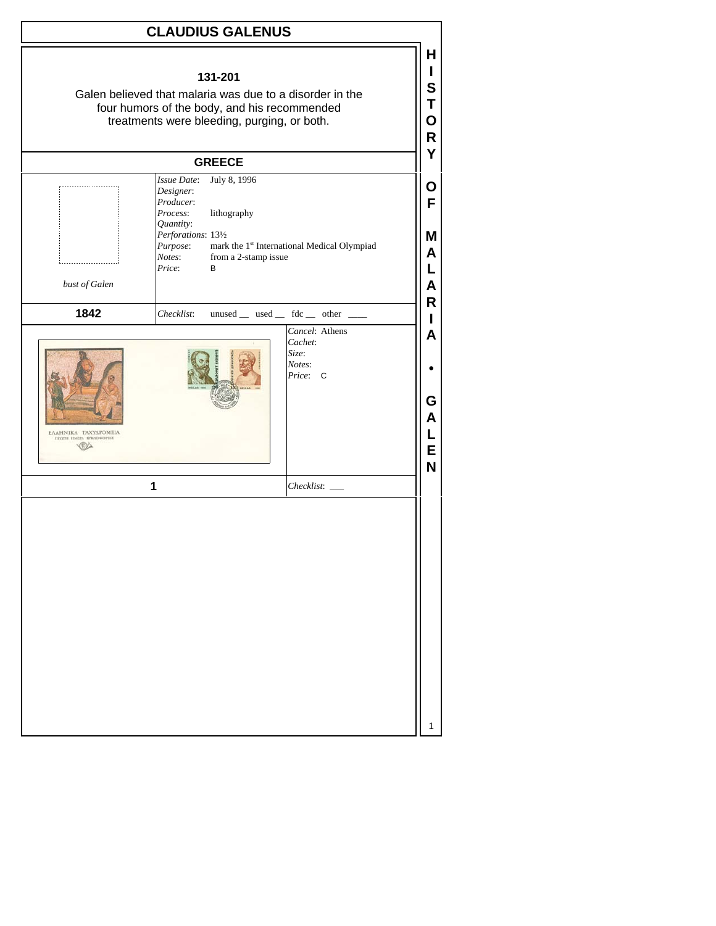## **CLAUDIUS GALENUS**

| four humors of the body, and his recommended<br>treatments were bleeding, purging, or both. |                                                                       |                             |                                                          |  |  |
|---------------------------------------------------------------------------------------------|-----------------------------------------------------------------------|-----------------------------|----------------------------------------------------------|--|--|
|                                                                                             | <b>GREECE</b>                                                         |                             |                                                          |  |  |
|                                                                                             | <b>Issue Date:</b><br>Designer:<br>Producer:<br>Process:              | July 8, 1996<br>lithography |                                                          |  |  |
|                                                                                             | Quantity:<br>Perforations: 131/2<br>Purpose:<br>Notes:<br>Price:<br>B | from a 2-stamp issue        | mark the 1st International Medical Olympiad              |  |  |
| bust of Galen                                                                               |                                                                       |                             |                                                          |  |  |
| 1842                                                                                        | Checklist:                                                            |                             | unused _ used _ fdc _ other _                            |  |  |
| ΕΛΛΗΝΙΚΑ ΤΑΧΥΔΡΟΜΕΙΑ<br>ΠΡΩΤΗ ΗΜΕΡΑ ΚΥΚΛΟΦΟΡΙΑΣ                                             |                                                                       |                             | Cancel: Athens<br>Cachet:<br>Size:<br>Notes:<br>Price: C |  |  |
|                                                                                             | 1                                                                     |                             | Checklist:                                               |  |  |
|                                                                                             |                                                                       |                             |                                                          |  |  |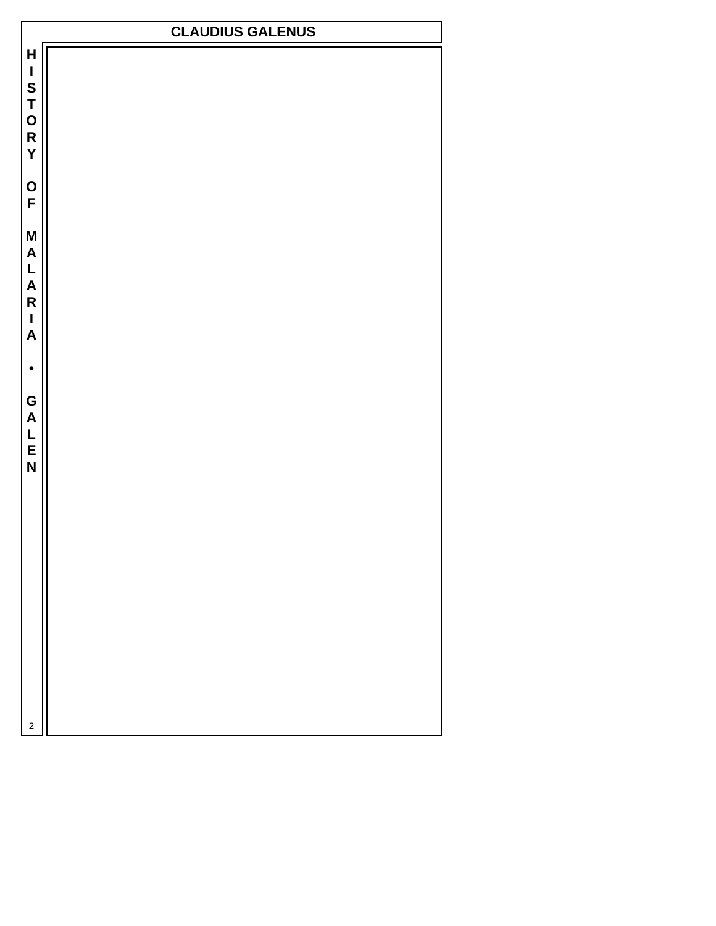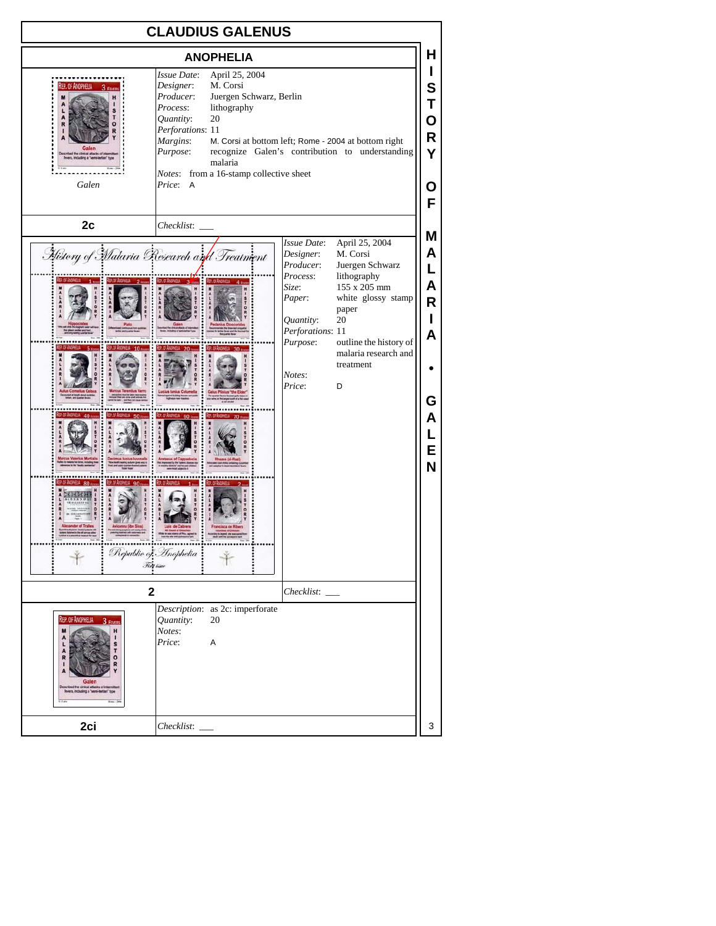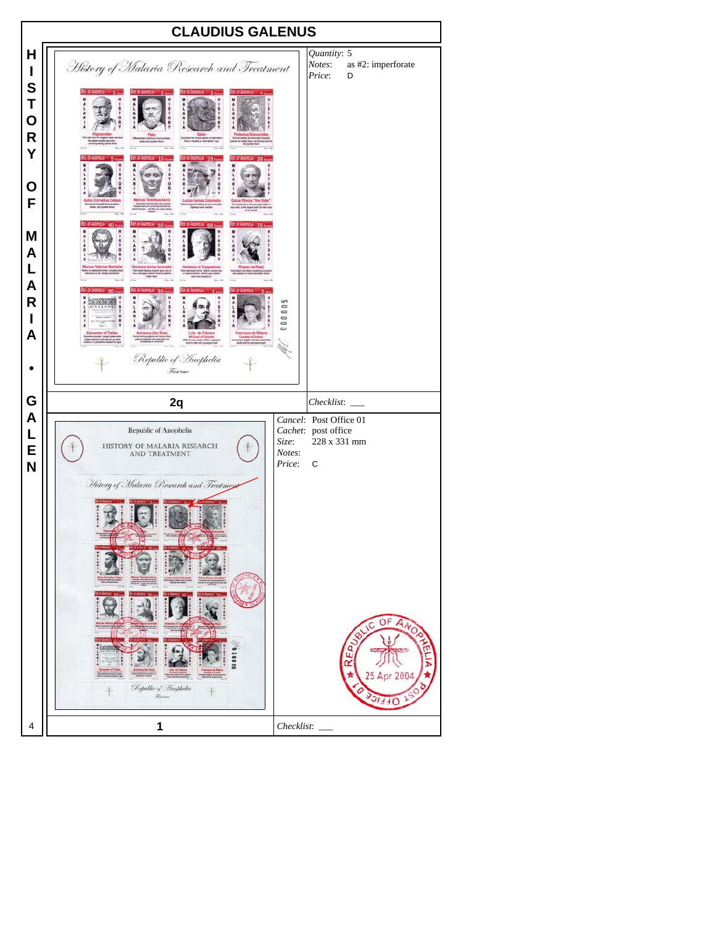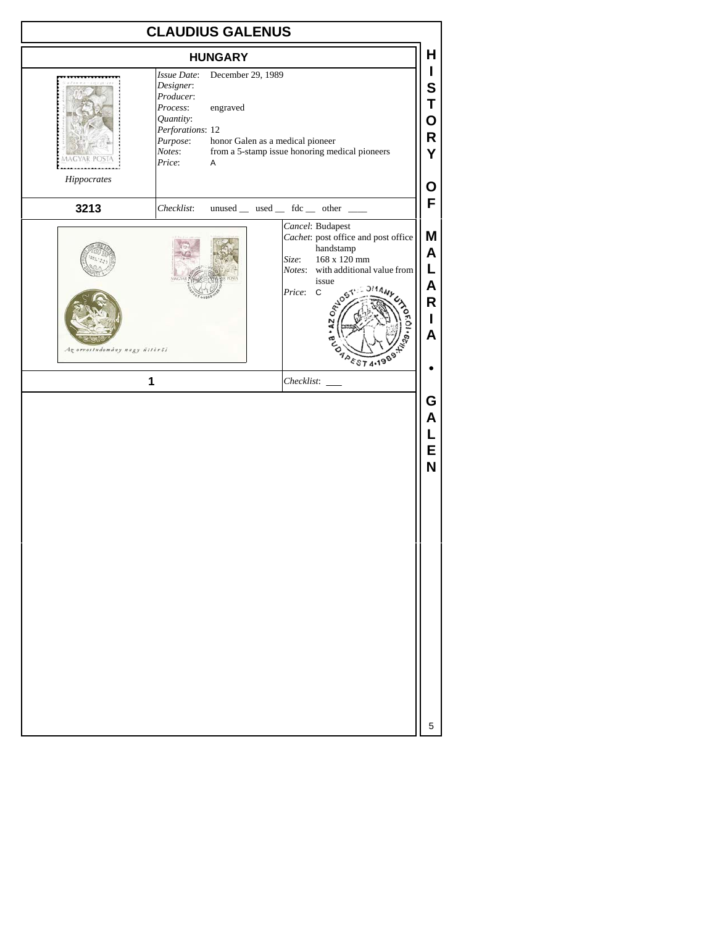| <b>CLAUDIUS GALENUS</b>                    |                                                                                                                                                                                                                |                                                                                                                                                                                                                                                                                                                        |  |  |  |
|--------------------------------------------|----------------------------------------------------------------------------------------------------------------------------------------------------------------------------------------------------------------|------------------------------------------------------------------------------------------------------------------------------------------------------------------------------------------------------------------------------------------------------------------------------------------------------------------------|--|--|--|
| Hippocrates                                | <b>HUNGARY</b><br>December 29, 1989<br>Issue Date:<br>Designer:<br>Producer:<br>Process:<br>engraved<br>Quantity:<br>Perforations: 12<br>honor Galen as a medical pioneer<br>Purpose:<br>Notes:<br>Price:<br>A | н<br>I<br>S<br>Τ<br>O<br>R<br>from a 5-stamp issue honoring medical pioneers<br>Y<br>Ο                                                                                                                                                                                                                                 |  |  |  |
| 3213<br>Az orvostudomány nagy últörői<br>1 | Checklist:                                                                                                                                                                                                     | F<br>$unused$ __ used __ fdc __ other __<br>Cancel: Budapest<br>M<br>Cachet: post office and post office<br>handstamp<br>A<br>168 x 120 mm<br>Size:<br>Г<br>Notes: with additional value from<br>issue<br>A<br>Price: C<br>· AZ O <sub>RAJOE</sub><br>R<br>I<br>A<br><b>APEST 4.1989</b><br>G<br>Α<br>L<br>E<br>N<br>5 |  |  |  |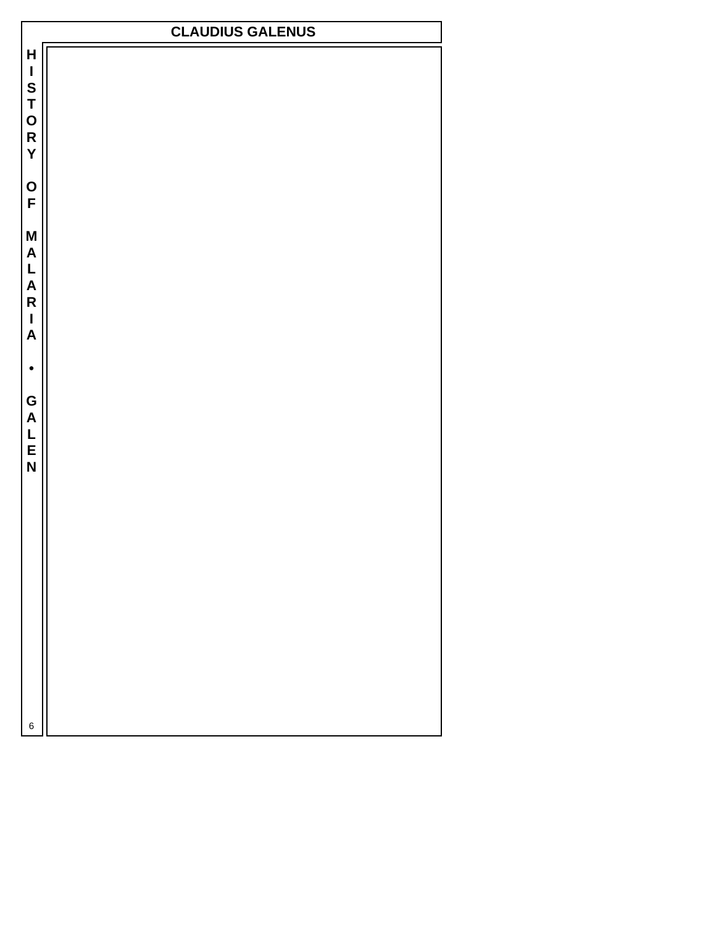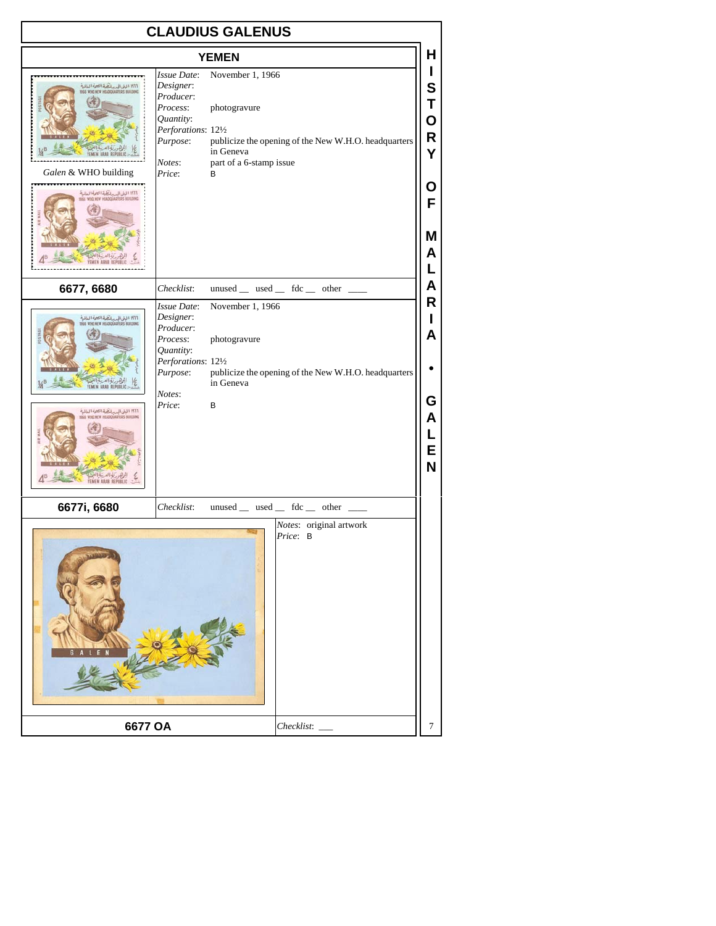## **CLAUDIUS GALENUS**

| טוטה.<br>ובת ט<br><b>YEMEN</b>                                                                                                                                                                                                |                                                                                                                       |                                                                                                                                       |  |  |
|-------------------------------------------------------------------------------------------------------------------------------------------------------------------------------------------------------------------------------|-----------------------------------------------------------------------------------------------------------------------|---------------------------------------------------------------------------------------------------------------------------------------|--|--|
| ۱۹۱۱ البنی الجدیدانیکهٔ الصرة العالمیهٔ<br>No who hte headquarese building<br>Galen & WHO building<br>ا البن المدرسة تشرة الصرة العالية<br>1977 المين المدرسة HEADQUARTERS BUILDING                                           | Issue Date:<br>Designer:<br>Producer:<br>Process:<br>Quantity:<br>Perforations: 121/2<br>Purpose:<br>Notes:<br>Price: | November 1, 1966<br>photogravure<br>publicize the opening of the New W.H.O. headquarters<br>in Geneva<br>part of a 6-stamp issue<br>B |  |  |
| 6677, 6680                                                                                                                                                                                                                    | Checklist:                                                                                                            | unused _ used _ fdc _ other _                                                                                                         |  |  |
| .<br>۱۹۲۲ الباز الم رياضة الصمة العالمية<br>SSE WHI NEW HEADQUARERS BUILDING<br><b>ARAR REF</b><br>.<br>۱۹۱۱ الیتی الحسین الحسنة التحرة السالمية<br>۱۹۱۲ Sos Wom NEW NEADQUARTERS BUILDING<br><b><i>MEN ARAB REPUBLIC</i></b> | Issue Date:<br>Designer:<br>Producer:<br>Process:<br>Quantity:<br>Purpose:<br>Notes:<br>Price:                        | November 1, 1966<br>photogravure<br>Perforations: 121/2<br>publicize the opening of the New W.H.O. headquarters<br>in Geneva<br>в     |  |  |
| 6677i, 6680                                                                                                                                                                                                                   | Checklist:                                                                                                            | unused _ used _ fdc _ other                                                                                                           |  |  |
|                                                                                                                                                                                                                               |                                                                                                                       | Notes: original artwork<br>Price: B                                                                                                   |  |  |
| 6677 OA                                                                                                                                                                                                                       |                                                                                                                       | Checklist:                                                                                                                            |  |  |